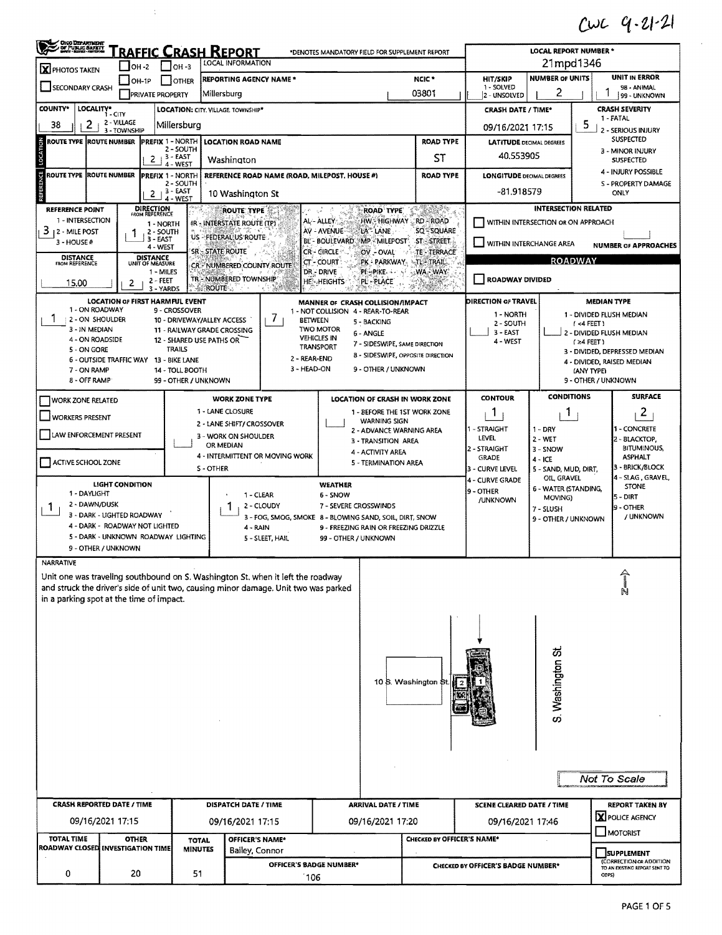## $CwC$   $q.21-21$

| <b>ONO DEPARTMENT</b><br>Of Public Safett<br><u>RAFFIC CRASH REPORT</u><br>LOCAL REPORT NUMBER *<br>*DENOTES MANDATORY FIELD FOR SUPPLEMENT REPORT                                                  |                                                                                                                                                                                                           |                                    |                                             |                  |                                                                                                                                                                        |                                                 |                                           |                                              |                                    |                                     |                                                        |                                                                               |  |  |  |
|-----------------------------------------------------------------------------------------------------------------------------------------------------------------------------------------------------|-----------------------------------------------------------------------------------------------------------------------------------------------------------------------------------------------------------|------------------------------------|---------------------------------------------|------------------|------------------------------------------------------------------------------------------------------------------------------------------------------------------------|-------------------------------------------------|-------------------------------------------|----------------------------------------------|------------------------------------|-------------------------------------|--------------------------------------------------------|-------------------------------------------------------------------------------|--|--|--|
| <b>LOCAL INFORMATION</b><br>$\Box$ OH-3<br>$ $ OH -2<br>X PHOTOS TAKEN                                                                                                                              |                                                                                                                                                                                                           |                                    |                                             |                  |                                                                                                                                                                        |                                                 |                                           |                                              | 21mpd1346                          |                                     |                                                        |                                                                               |  |  |  |
|                                                                                                                                                                                                     | $ OH-1P$                                                                                                                                                                                                  |                                    | I IOTHER                                    |                  | <b>REPORTING AGENCY NAME *</b>                                                                                                                                         |                                                 |                                           | NCIC*                                        | <b>HIT/SKIP</b><br>1 - SOLVED      | <b>NUMBER OF UNITS</b>              |                                                        | <b>UNIT IN ERROR</b>                                                          |  |  |  |
| SECONDARY CRASH                                                                                                                                                                                     |                                                                                                                                                                                                           | <b>PRIVATE PROPERTY</b>            |                                             | Millersburg      |                                                                                                                                                                        |                                                 |                                           | 03801                                        | 2 - UNSOLVED                       | 2                                   |                                                        | 98 - ANIMAL<br>99 - UNKNOWN                                                   |  |  |  |
| <b>COUNTY*</b><br>LOCALITY*                                                                                                                                                                         | 1 - CITY                                                                                                                                                                                                  |                                    |                                             |                  | <b>LOCATION: CITY, VILLAGE, TOWNSHIP*</b>                                                                                                                              |                                                 |                                           | <b>CRASH DATE / TIME*</b>                    | <b>CRASH SEVERITY</b><br>1 - FATAL |                                     |                                                        |                                                                               |  |  |  |
| 2<br>38                                                                                                                                                                                             | 2 - VILLAGE<br>3 - TOWNSHIP                                                                                                                                                                               |                                    | Millersburg                                 |                  |                                                                                                                                                                        |                                                 |                                           |                                              | 09/16/2021 17:15                   |                                     | 5                                                      | 2 - SERIOUS INJURY                                                            |  |  |  |
| LOCATION<br>ROUTE TYPE  ROUTE NUMBER                                                                                                                                                                |                                                                                                                                                                                                           | <b>PREFIX 1 - NORTH</b>            | 2 - SOUTH                                   |                  | <b>LOCATION ROAD NAME</b>                                                                                                                                              |                                                 |                                           | <b>ROAD TYPE</b>                             | <b>LATITUDE DECIMAL DEGREES</b>    |                                     |                                                        | <b>SUSPECTED</b><br>3 - MINOR INJURY                                          |  |  |  |
|                                                                                                                                                                                                     |                                                                                                                                                                                                           | $2 + 3 - EAST$                     | 4 - WEST                                    |                  | Washington                                                                                                                                                             |                                                 |                                           | SΤ                                           | 40,553905                          |                                     |                                                        | SUSPECTED                                                                     |  |  |  |
| ű<br><b>ROUTE TYPE ROUTE NUMBER</b>                                                                                                                                                                 |                                                                                                                                                                                                           | <b>PREFIX 1 - NORTH</b>            | 2 - SOUTH                                   |                  | REFERENCE ROAD NAME (ROAD, MILEPOST, HOUSE #)                                                                                                                          |                                                 |                                           | <b>ROAD TYPE</b>                             | <b>LONGITUDE DECIMAL DEGREES</b>   |                                     |                                                        | 4 - INJURY POSSIBLE<br>S - PROPERTY DAMAGE                                    |  |  |  |
|                                                                                                                                                                                                     |                                                                                                                                                                                                           | $\mathbf{2}$                       | <b>B - EAST</b><br>4 - WEST                 |                  | 10 Washington St                                                                                                                                                       |                                                 |                                           |                                              | -81.918579                         |                                     |                                                        | ONLY                                                                          |  |  |  |
| <b>REFERENCE POINT</b>                                                                                                                                                                              |                                                                                                                                                                                                           | <b>DIRECTION</b><br>FROM REFERENCE |                                             |                  | ROUTE TYPE                                                                                                                                                             |                                                 | <b>ROAD TYPE</b>                          | - Serie de C                                 |                                    | <b>INTERSECTION RELATED</b>         |                                                        |                                                                               |  |  |  |
| 1 - INTERSECTION<br>3<br>12 - MILE POST                                                                                                                                                             |                                                                                                                                                                                                           | 1 - NORTH<br>2 - SOUTH             |                                             |                  | <b>IR - INTERSTATE ROUTE (TP)</b>                                                                                                                                      | AL-ALLEY<br>AV - AVENUE                         | LA <sup>®</sup> LANE                      | HW - HIGHWAY RD - ROAD<br><b>SQ - SQUARE</b> | WITHIN INTERSECTION OR ON APPROACH |                                     |                                                        |                                                                               |  |  |  |
| 3 - HOUSE #                                                                                                                                                                                         | 1<br>US - FEDERAL US ROUTE<br>3 - EAST<br>BL - BOULEVARD MP - MILEPOST<br>ST-STREET<br>4 - WEST                                                                                                           |                                    |                                             |                  |                                                                                                                                                                        |                                                 |                                           |                                              |                                    |                                     | WITHIN INTERCHANGE AREA<br><b>NUMBER OF APPROACHES</b> |                                                                               |  |  |  |
| <b>DISTANCE</b><br>FROM REFERENCE                                                                                                                                                                   | <b>SR - STATE ROUTE</b><br>CR - CIRCLE<br>OV - OVAL<br><b>TE-TERRACE</b><br>DISTANCE<br>UNIT OF MEASURE<br><b>ROADWAY</b><br>PK - PARKWAY<br><b>NTLE TRAIL</b><br>CT - COURT<br>CR. NUMBERED COUNTY ROUTE |                                    |                                             |                  |                                                                                                                                                                        |                                                 |                                           |                                              |                                    |                                     |                                                        |                                                                               |  |  |  |
| 1 - MILES<br>DR - DRIVE<br>PI - PIKE<br>WA - WAY<br><b>TR-NUMBERED TOWNSHIP</b><br><b>ROADWAY DIVIDED</b><br>$2 - FEET$<br><b>HE-HEIGHTS</b><br>PL-PLACE<br>15,00<br>2<br><b>ROUTE</b><br>3 - YARDS |                                                                                                                                                                                                           |                                    |                                             |                  |                                                                                                                                                                        |                                                 |                                           |                                              |                                    |                                     |                                                        |                                                                               |  |  |  |
|                                                                                                                                                                                                     | <b>LOCATION OF FIRST HARMFUL EVENT</b>                                                                                                                                                                    |                                    |                                             |                  |                                                                                                                                                                        | MANNER OF CRASH COLLISION/IMPACT                |                                           |                                              | DIRECTION OF TRAVEL                |                                     |                                                        | <b>MEDIAN TYPE</b>                                                            |  |  |  |
| 1 - ON ROADWAY<br>ı.<br>2 - ON SHOULDER                                                                                                                                                             |                                                                                                                                                                                                           |                                    | 9 - CROSSOVER<br>10 - DRIVEWAY/ALLEY ACCESS |                  | 7<br>BETWEEN                                                                                                                                                           | 1 - NOT COLLISION 4 - REAR-TO-REAR              |                                           |                                              | 1 - NORTH                          |                                     |                                                        | 1 - DIVIDED FLUSH MEDIAN                                                      |  |  |  |
| 3 - IN MEDIAN                                                                                                                                                                                       |                                                                                                                                                                                                           |                                    | 11 - RAILWAY GRADE CROSSING                 |                  |                                                                                                                                                                        | <b>TWO MOTOR</b>                                | 5 - BACKING<br>6 - ANGLE                  |                                              | 2 - SOUTH<br>$3 - EAST$            |                                     | $(4$ FEET)                                             | 2 - DIVIDED FLUSH MEDIAN                                                      |  |  |  |
| 4 - ON ROADSIDE<br>5 - ON GORE                                                                                                                                                                      |                                                                                                                                                                                                           |                                    | 12 - SHARED USE PATHS OR<br><b>TRAILS</b>   |                  |                                                                                                                                                                        | <b>VEHICLES IN</b><br><b>TRANSPORT</b>          | 7 - SIDESWIPE, SAME DIRECTION             |                                              | 4 - WEST                           |                                     | $(24$ FEET)<br>3 - DIVIDED, DEPRESSED MEDIAN           |                                                                               |  |  |  |
|                                                                                                                                                                                                     | 6 - OUTSIDE TRAFFIC WAY 13 - BIKE LANE                                                                                                                                                                    |                                    |                                             |                  | 2 - REAR-END                                                                                                                                                           |                                                 |                                           | 8 - SIDESWIPE, OPPOSITE DIRECTION            |                                    |                                     |                                                        | 4 - DIVIDED, RAISED MEDIAN                                                    |  |  |  |
| 3 - HEAD-ON<br>9 - OTHER / UNKNOWN<br>7 - ON RAMP<br>14 - TOLL BOOTH<br>8 - OFF RAMP<br>99 - OTHER / UNKNOWN                                                                                        |                                                                                                                                                                                                           |                                    |                                             |                  |                                                                                                                                                                        |                                                 |                                           |                                              |                                    | (ANY TYPE)                          | 9 - OTHER / UNKNOWN                                    |                                                                               |  |  |  |
| <b>WORK ZONE RELATED</b>                                                                                                                                                                            |                                                                                                                                                                                                           |                                    |                                             |                  | <b>WORK ZONE TYPE</b>                                                                                                                                                  |                                                 |                                           | <b>LOCATION OF CRASH IN WORK ZONE</b>        | <b>CONTOUR</b>                     | <b>CONDITIONS</b>                   |                                                        | <b>SURFACE</b>                                                                |  |  |  |
| <b>WORKERS PRESENT</b>                                                                                                                                                                              |                                                                                                                                                                                                           |                                    |                                             | 1 - LANE CLOSURE |                                                                                                                                                                        |                                                 |                                           | 1 - BEFORE THE 1ST WORK ZONE                 | 1                                  | Т.                                  |                                                        | $\overline{2}$                                                                |  |  |  |
|                                                                                                                                                                                                     |                                                                                                                                                                                                           |                                    |                                             |                  | 2 - LANE SHIFT/ CROSSOVER                                                                                                                                              | <b>WARNING SIGN</b><br>2 - ADVANCE WARNING AREA |                                           | - STRAIGHT                                   | $1 - DRY$                          |                                     | 1 - CONCRETE                                           |                                                                               |  |  |  |
| LAW ENFORCEMENT PRESENT                                                                                                                                                                             |                                                                                                                                                                                                           |                                    |                                             | OR MEDIAN        | <b>3 - WORK ON SHOULDER</b>                                                                                                                                            |                                                 | 3 - TRANSITION AREA                       |                                              | <b>LEVEL</b><br>2 - STRAIGHT       | $2 - WET$                           |                                                        | 2 - BLACKTOP,<br><b>BITUMINOUS,</b>                                           |  |  |  |
| ACTIVE SCHOOL ZONE                                                                                                                                                                                  |                                                                                                                                                                                                           |                                    |                                             |                  | 4 - INTERMITTENT OR MOVING WORK                                                                                                                                        |                                                 | 4 - ACTIVITY AREA<br>5 - TERMINATION AREA |                                              | <b>GRADE</b>                       | 3 - SNOW<br>$4 - ICE$               |                                                        | <b>ASPHALT</b>                                                                |  |  |  |
|                                                                                                                                                                                                     |                                                                                                                                                                                                           |                                    |                                             | S - OTHER        |                                                                                                                                                                        |                                                 |                                           |                                              | 3 - CURVE LEVEL<br>4 - CURVE GRADE | 5 - SAND, MUD, DIRT,<br>OIL, GRAVEL |                                                        | 3 - BRICK/BLOCK<br>4 - SLAG, GRAVEL,                                          |  |  |  |
| 1 - DAYLIGHT                                                                                                                                                                                        | <b>LIGHT CONDITION</b>                                                                                                                                                                                    |                                    |                                             |                  | 1 - CLEAR                                                                                                                                                              | <b>WEATHER</b><br>6 - SNOW                      |                                           |                                              | 9 - OTHER                          | 6 - WATER (STANDING,                |                                                        | <b>STONE</b>                                                                  |  |  |  |
| 2 - DAWN/DUSK<br>T.                                                                                                                                                                                 |                                                                                                                                                                                                           |                                    |                                             |                  | 2 - CLOUDY<br>H                                                                                                                                                        | 7 - SEVERE CROSSWINDS                           |                                           |                                              | /UNKNOWN                           | MOVING)<br>7 - SLUSH                |                                                        | $5 - DIRT$<br>9 - OTHER                                                       |  |  |  |
|                                                                                                                                                                                                     | 3 - DARK - LIGHTED ROADWAY                                                                                                                                                                                |                                    |                                             |                  | 3 - FOG, SMOG, SMOKE 8 - BLOWING SAND, SOIL, DIRT, SNOW                                                                                                                |                                                 |                                           |                                              |                                    | 9 - OTHER / UNKNOWN                 |                                                        | / UNKNOWN                                                                     |  |  |  |
|                                                                                                                                                                                                     | 4 - DARK - ROADWAY NOT LIGHTED<br>5 - DARK - UNKNOWN ROADWAY LIGHTING                                                                                                                                     |                                    |                                             |                  | 4 - RAIN<br>5 - SLEET, HAIL                                                                                                                                            | 99 - OTHER / UNKNOWN                            |                                           | 9 - FREEZING RAIN OR FREEZING DRIZZLE        |                                    |                                     |                                                        |                                                                               |  |  |  |
|                                                                                                                                                                                                     | 9 - OTHER / UNKNOWN                                                                                                                                                                                       |                                    |                                             |                  |                                                                                                                                                                        |                                                 |                                           |                                              |                                    |                                     |                                                        |                                                                               |  |  |  |
| <b>NARRATIVE</b>                                                                                                                                                                                    |                                                                                                                                                                                                           |                                    |                                             |                  |                                                                                                                                                                        |                                                 |                                           |                                              |                                    |                                     |                                                        |                                                                               |  |  |  |
|                                                                                                                                                                                                     |                                                                                                                                                                                                           |                                    |                                             |                  | Unit one was traveling southbound on S. Washington St, when it left the roadway<br>and struck the driver's side of unit two, causing minor damage. Unit two was parked |                                                 |                                           |                                              |                                    |                                     |                                                        |                                                                               |  |  |  |
| in a parking spot at the time of impact.                                                                                                                                                            |                                                                                                                                                                                                           |                                    |                                             |                  |                                                                                                                                                                        |                                                 |                                           |                                              |                                    |                                     |                                                        |                                                                               |  |  |  |
|                                                                                                                                                                                                     |                                                                                                                                                                                                           |                                    |                                             |                  |                                                                                                                                                                        |                                                 |                                           |                                              |                                    |                                     |                                                        |                                                                               |  |  |  |
|                                                                                                                                                                                                     |                                                                                                                                                                                                           |                                    |                                             |                  |                                                                                                                                                                        |                                                 |                                           |                                              |                                    |                                     |                                                        |                                                                               |  |  |  |
|                                                                                                                                                                                                     |                                                                                                                                                                                                           |                                    |                                             |                  |                                                                                                                                                                        |                                                 |                                           |                                              |                                    |                                     |                                                        |                                                                               |  |  |  |
|                                                                                                                                                                                                     |                                                                                                                                                                                                           |                                    |                                             |                  |                                                                                                                                                                        |                                                 |                                           |                                              |                                    | S. Washington St                    |                                                        |                                                                               |  |  |  |
|                                                                                                                                                                                                     |                                                                                                                                                                                                           |                                    |                                             |                  |                                                                                                                                                                        |                                                 |                                           | 10 S. Washington St                          |                                    |                                     |                                                        |                                                                               |  |  |  |
|                                                                                                                                                                                                     |                                                                                                                                                                                                           |                                    |                                             |                  |                                                                                                                                                                        |                                                 |                                           |                                              |                                    |                                     |                                                        |                                                                               |  |  |  |
|                                                                                                                                                                                                     |                                                                                                                                                                                                           |                                    |                                             |                  |                                                                                                                                                                        |                                                 |                                           |                                              |                                    |                                     |                                                        |                                                                               |  |  |  |
|                                                                                                                                                                                                     |                                                                                                                                                                                                           |                                    |                                             |                  |                                                                                                                                                                        |                                                 |                                           |                                              |                                    |                                     |                                                        |                                                                               |  |  |  |
|                                                                                                                                                                                                     |                                                                                                                                                                                                           |                                    |                                             |                  |                                                                                                                                                                        |                                                 |                                           |                                              |                                    |                                     |                                                        |                                                                               |  |  |  |
|                                                                                                                                                                                                     |                                                                                                                                                                                                           |                                    |                                             |                  |                                                                                                                                                                        |                                                 |                                           |                                              |                                    |                                     |                                                        |                                                                               |  |  |  |
|                                                                                                                                                                                                     |                                                                                                                                                                                                           |                                    |                                             |                  |                                                                                                                                                                        |                                                 |                                           |                                              |                                    |                                     |                                                        | Not To Scale                                                                  |  |  |  |
|                                                                                                                                                                                                     |                                                                                                                                                                                                           |                                    |                                             |                  |                                                                                                                                                                        |                                                 |                                           |                                              |                                    |                                     |                                                        |                                                                               |  |  |  |
| <b>CRASH REPORTED DATE / TIME</b>                                                                                                                                                                   |                                                                                                                                                                                                           |                                    |                                             |                  | DISPATCH DATE / TIME                                                                                                                                                   |                                                 | <b>ARRIVAL DATE / TIME</b>                |                                              | <b>SCENE CLEARED DATE / TIME</b>   |                                     |                                                        | <b>REPORT TAKEN BY</b>                                                        |  |  |  |
|                                                                                                                                                                                                     | 09/16/2021 17:15                                                                                                                                                                                          |                                    |                                             |                  | 09/16/2021 17:15                                                                                                                                                       |                                                 | 09/16/2021 17:20                          |                                              | 09/16/2021 17:46                   |                                     |                                                        | X POLICE AGENCY<br><b>JMOTORIST</b>                                           |  |  |  |
| <b>TOTAL TIME</b><br>ROADWAY CLOSED INVESTIGATION TIME                                                                                                                                              | <b>OTHER</b>                                                                                                                                                                                              |                                    | <b>TOTAL</b><br><b>MINUTES</b>              |                  | OFFICER'S NAME*                                                                                                                                                        |                                                 |                                           | CHECKED BY OFFICER'S NAME*                   |                                    |                                     |                                                        |                                                                               |  |  |  |
|                                                                                                                                                                                                     |                                                                                                                                                                                                           |                                    |                                             |                  | Bailey, Connor<br>OFFICER'S BADGE NUMBER*                                                                                                                              |                                                 |                                           |                                              | CHECKED BY OFFICER'S BADGE NUMBER* |                                     |                                                        | <b>SUPPLEMENT</b><br>(CORRECTION OR ADDITION<br>TO AN EXISTING REPORT SENT TO |  |  |  |
| 0<br>20<br>51<br>106                                                                                                                                                                                |                                                                                                                                                                                                           |                                    |                                             |                  |                                                                                                                                                                        |                                                 |                                           | ODPS)                                        |                                    |                                     |                                                        |                                                                               |  |  |  |

 $\frac{1}{2}$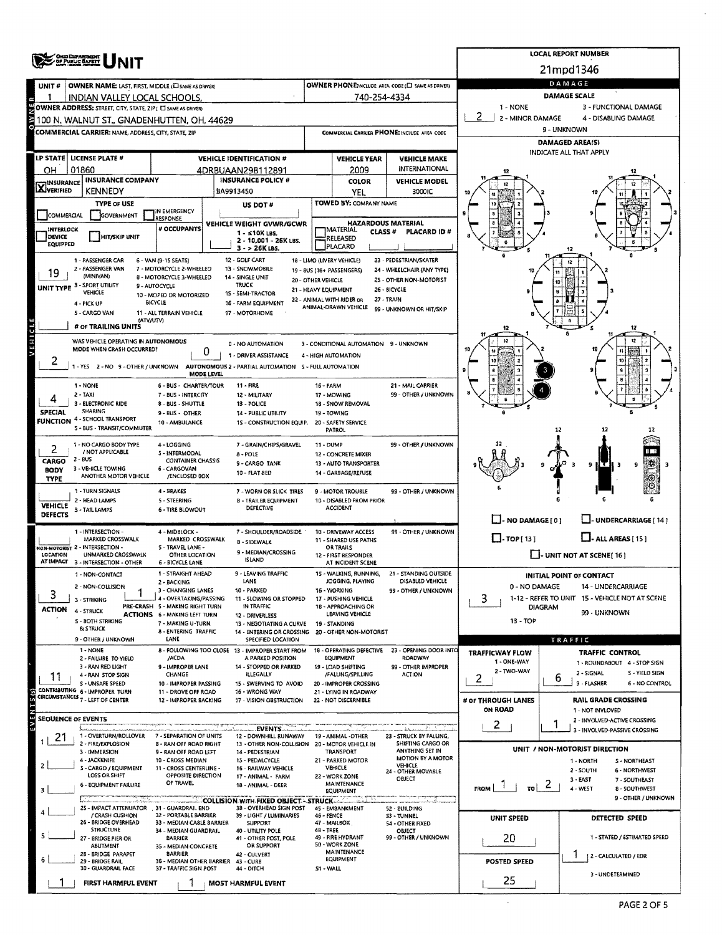|                                                                                        |                                                                                                  |                                                               | <b>LOCAL REPORT NUMBER</b>       |                                                                               |                                                                                      |                                               |                                                            |                            |                                                                  |  |  |  |  |
|----------------------------------------------------------------------------------------|--------------------------------------------------------------------------------------------------|---------------------------------------------------------------|----------------------------------|-------------------------------------------------------------------------------|--------------------------------------------------------------------------------------|-----------------------------------------------|------------------------------------------------------------|----------------------------|------------------------------------------------------------------|--|--|--|--|
|                                                                                        | <b>OHIO DEPARTMENT<br/>OF PUBLIC BAFETT</b>                                                      |                                                               |                                  |                                                                               |                                                                                      |                                               |                                                            |                            | 21mpd1346                                                        |  |  |  |  |
| UNIT#                                                                                  | <b>OWNER NAME: LAST, FIRST, MIDDLE (E) SAME AS DRIVER)</b>                                       |                                                               |                                  |                                                                               |                                                                                      |                                               | OWNER PHONE:INCLUDE AREA CODE (E) SAME AS DRIVER)          | DAMAGE                     |                                                                  |  |  |  |  |
|                                                                                        | INDIAN VALLEY LOCAL SCHOOLS.                                                                     |                                                               |                                  |                                                                               |                                                                                      | 740-254-4334                                  |                                                            |                            | <b>DAMAGE SCALE</b>                                              |  |  |  |  |
|                                                                                        | 1 - NONE<br>3 - FUNCTIONAL DAMAGE<br>OWNER ADDRESS: STREET, CITY, STATE, ZIP( C) SAME AS DRIVER) |                                                               |                                  |                                                                               |                                                                                      |                                               |                                                            |                            |                                                                  |  |  |  |  |
| 2 - MINOR DAMAGE<br>4 - DISABLING DAMAGE<br>100 N. WALNUT ST., GNADENHUTTEN, OH, 44629 |                                                                                                  |                                                               |                                  |                                                                               |                                                                                      |                                               |                                                            |                            |                                                                  |  |  |  |  |
|                                                                                        | <b>COMMERCIAL CARRIER: NAME, ADDRESS, CITY, STATE, ZIP</b>                                       |                                                               |                                  |                                                                               | COMMERCIAL CARRIER PHONE: INCLUDE AREA CODE                                          |                                               |                                                            | 9 - UNKNOWN                |                                                                  |  |  |  |  |
|                                                                                        |                                                                                                  |                                                               |                                  |                                                                               |                                                                                      |                                               |                                                            |                            | <b>DAMAGED AREA(S)</b><br>INDICATE ALL THAT APPLY                |  |  |  |  |
|                                                                                        | LP STATE   LICENSE PLATE #                                                                       |                                                               | <b>VEHICLE IDENTIFICATION #</b>  |                                                                               |                                                                                      | <b>VEHICLE YEAR</b>                           | <b>VEHICLE MAKE</b>                                        |                            |                                                                  |  |  |  |  |
| OН                                                                                     | 01860<br><b>INSURANCE COMPANY</b>                                                                |                                                               | 4DRBUAAN29B112891                | <b>INSURANCE POLICY #</b>                                                     |                                                                                      | 2009                                          | INTERNATIONAL                                              |                            |                                                                  |  |  |  |  |
| <b>X</b> WSURANCE                                                                      | <b>KENNEDY</b>                                                                                   |                                                               | BA9913450                        |                                                                               |                                                                                      | <b>COLOR</b><br><b>YEL</b>                    | <b>VEHICLE MODEL</b><br>3000IC                             |                            |                                                                  |  |  |  |  |
|                                                                                        | <b>TYPE OF USE</b>                                                                               |                                                               |                                  | US DOT#                                                                       |                                                                                      | TOWED BY: COMPANY NAME                        |                                                            |                            |                                                                  |  |  |  |  |
| COMMERCIAL                                                                             | GOVERNMENT                                                                                       | IN EMERGENCY<br><b>LESPONSE</b>                               |                                  |                                                                               |                                                                                      |                                               |                                                            |                            |                                                                  |  |  |  |  |
| <b>INTERLOCK</b>                                                                       |                                                                                                  | # OCCUPANTS                                                   |                                  | VEHICLE WEIGHT GVWR/GCWR<br>$1 - 510K$ LBS.                                   | <b>HAZARDOUS MATERIAL</b><br><b>MATERIAL</b><br><b>CLASS#</b><br><b>PLACARD ID #</b> |                                               |                                                            |                            |                                                                  |  |  |  |  |
| DEVICE<br><b>EQUIPPED</b>                                                              | <b>HIT/SKIP UNIT</b>                                                                             |                                                               |                                  | 2 - 10,001 - 26K LBS.<br>3 - > 26K LBS.                                       |                                                                                      | RELEASED<br>PLACARD                           |                                                            |                            |                                                                  |  |  |  |  |
|                                                                                        | 1 - PASSENGER CAR                                                                                | 6 - VAN (9-15 SEATS)                                          | 12 - GOLF CART                   |                                                                               |                                                                                      | 18 - LIMO (LIVERY VEHICLE)                    | 23 - PEDESTRIAN/SKATER                                     |                            |                                                                  |  |  |  |  |
| 19                                                                                     | 2 - PASSENGER VAN                                                                                | 7 - MOTORCYCLE 2-WHEELED                                      | 13 - SNOWMOBILE                  |                                                                               |                                                                                      | 19 - 8US (16+ PASSENGERS)                     | 24 - WHEELCHAIR (ANY TYPE)                                 |                            |                                                                  |  |  |  |  |
| UNIT TYPE 3                                                                            | (MINIVAN)<br>- SPORT UTILITY                                                                     | 8 - MOTORCYCLE 3-WHEELED<br>9 - AUTOCYCLE                     | 14 - SINGLE UNIT<br><b>TRUCK</b> |                                                                               | 20 - OTHER VEHICLE                                                                   |                                               | 25 - OTHER NON-MOTORIST                                    |                            |                                                                  |  |  |  |  |
|                                                                                        | <b>VEHICLE</b>                                                                                   | 10 - MOPED OR MOTORIZED<br><b>BICYCLE</b>                     | 15 - SEMI-TRACTOR                | 21 - HEAVY EQUIPMENT<br>16 - FARM EQUIPMENT                                   |                                                                                      | 22 - ANIMAL WITH RIDER OR                     | 26 - BICYCLE<br><b>27 - TRAIN</b>                          |                            |                                                                  |  |  |  |  |
|                                                                                        | 4 - PICK UP<br>5 - CARGO VAN<br>11 - ALL TERRAIN VEHICLE                                         |                                                               |                                  |                                                                               |                                                                                      |                                               |                                                            |                            |                                                                  |  |  |  |  |
|                                                                                        | (ATV/UTV)<br># OF TRAILING UNITS                                                                 |                                                               | 17 - MOTORHOME                   |                                                                               |                                                                                      |                                               |                                                            |                            |                                                                  |  |  |  |  |
|                                                                                        | WAS VEHICLE OPERATING IN AUTONOMOUS                                                              |                                                               |                                  |                                                                               |                                                                                      |                                               |                                                            |                            |                                                                  |  |  |  |  |
| <b>AEHICLE</b>                                                                         | MODE WHEN CRASH OCCURRED?                                                                        | 0                                                             | 0 - NO AUTOMATION                | 3 - CONDITIONAL AUTOMATION 9 - UNKNOWN                                        |                                                                                      |                                               |                                                            |                            |                                                                  |  |  |  |  |
| 2                                                                                      | 1 - YES 2 - NO 9 - OTHER / UNKNOWN AUTONOMOUS 2 - PARTIAL AUTOMATION 5 - FULL AUTOMATION         |                                                               |                                  | 1 - DRIVER ASSISTANCE                                                         |                                                                                      | 4 - HIGH AUTOMATION                           |                                                            |                            |                                                                  |  |  |  |  |
|                                                                                        |                                                                                                  | MODE LEVEL                                                    |                                  |                                                                               |                                                                                      |                                               |                                                            |                            |                                                                  |  |  |  |  |
|                                                                                        | 1 - NONE<br>2 - TAXI                                                                             | 6 - BUS - CHARTER/TOUR                                        | 11 - FIRE                        |                                                                               | 16 - FARM                                                                            |                                               | 21 - MAIL CARRIER<br>99 - OTHER / UNKNOWN                  |                            |                                                                  |  |  |  |  |
|                                                                                        | 3 - ELECTRONIC RIDE                                                                              | 7 - BUS - INTERCITY<br><b>8 - BUS - SHUTTLE</b>               | 13 - POLICE                      | 12 - MILITARY                                                                 |                                                                                      | 17 - MOWING<br>18 - SNOW REMOVAL              |                                                            |                            |                                                                  |  |  |  |  |
| SPECIAL                                                                                | <b>SHARING</b><br><b>FUNCTION 4 - SCHOOL TRANSPORT</b>                                           | 9 - BUS - OTHER                                               |                                  | <b>14 - PUBLIC UTILITY</b>                                                    | 19 - TOWING                                                                          |                                               |                                                            |                            |                                                                  |  |  |  |  |
|                                                                                        | 5 - BUS - TRANSIT/COMMUTER                                                                       | 10 - AMBULANCE                                                |                                  | 1S - CONSTRUCTION EQUIP.                                                      |                                                                                      | 20 - SAFETY SERVICE<br>PATROL                 |                                                            |                            | 12                                                               |  |  |  |  |
|                                                                                        | 1 - NO CARGO BODY TYPE                                                                           | 4 - LOGGING                                                   |                                  | 7 - GRAIN/CHIPS/GRAVEL                                                        | <b>11 - DUMP</b>                                                                     |                                               | 99 - OTHER / UNKNOWN                                       |                            |                                                                  |  |  |  |  |
| 2                                                                                      | / NOT APPLICABLE                                                                                 | 5 - INTERMODAL                                                | 8 - POLE                         |                                                                               |                                                                                      | 12 - CONCRETE MIXER                           |                                                            |                            |                                                                  |  |  |  |  |
| CARGO<br><b>BODY</b>                                                                   | 2 - BUS<br>3 - VEHICLE TOWING                                                                    | <b>CONTAINER CHASSIS</b><br>6 - CARGOVAN                      |                                  | 9 - CARGO TANK                                                                |                                                                                      | 13 - AUTO TRANSPORTER                         |                                                            |                            |                                                                  |  |  |  |  |
| <b>TYPE</b>                                                                            | ANOTHER MOTOR VEHICLE                                                                            | /ENCLOSED BOX                                                 |                                  | 10 - FLAT 8ED                                                                 |                                                                                      | 14 - GARBAGE/REFUSE                           |                                                            |                            |                                                                  |  |  |  |  |
|                                                                                        | 1 - TURN SIGNALS                                                                                 | 4 - BRAKES                                                    |                                  | 7 - WORN OR SLICK TIRES<br>8 - TRAILER EQUIPMENT                              |                                                                                      | 9 - MOTOR TROUBLE                             | 99 - OTHER / UNKNOWN                                       |                            |                                                                  |  |  |  |  |
| VEHICLE                                                                                | 2 - HEAD LAMPS<br>3 - TAIL LAMPS                                                                 | 5 - STEERING<br><b>6 - TIRE BLOWOUT</b>                       |                                  | DEFECTIVE                                                                     |                                                                                      | 10 - DISABLED FROM PRIOR<br><b>ACCIDENT</b>   |                                                            |                            |                                                                  |  |  |  |  |
| <b>DEFECTS</b>                                                                         |                                                                                                  |                                                               |                                  |                                                                               |                                                                                      |                                               |                                                            | $\Box$ -NO DAMAGEI01       | LI-UNDERCARRIAGE [ 14 ]                                          |  |  |  |  |
|                                                                                        | 1 - INTERSECTION -<br>MARKED CROSSWALK                                                           | 4 - MIDBLOCK -<br>MARKED CROSSWALK                            |                                  | 7 - SHOULDER/ROADSIDE                                                         |                                                                                      | 10 - DRIVEWAY ACCESS<br>11 - SHARED USE PATHS | 99 - OTHER / UNKNOWN                                       | $\Box$ -TOP(13)            | $LJ$ - ALL AREAS [15]                                            |  |  |  |  |
|                                                                                        | NON-MOTORIST 2 - INTERSECTION -                                                                  | 5 - TRAVEL LANE -                                             |                                  | 8 - SIDEWALK<br>9 - MEDIAN/CROSSING                                           |                                                                                      | <b>OR TRAILS</b>                              |                                                            |                            |                                                                  |  |  |  |  |
| LOCATION                                                                               | UNMARKED CROSSWALK<br>AT IMPACT 3 - INTERSECTION - OTHER                                         | OTHER LOCATION<br>6 - BICYCLE LANE                            |                                  | <b>ISLAND</b>                                                                 |                                                                                      | 12 - FIRST RESPONDER<br>AT INCIDENT SCENE     |                                                            |                            | -- UNIT NOT AT SCENE [16]                                        |  |  |  |  |
|                                                                                        | 1 - NON-CONTACT                                                                                  | 1 - STRAIGHT AHEAD                                            |                                  | 9 - LEAVING TRAFFIC                                                           |                                                                                      | 15 - WALKING, RUNNING,                        | 21 - STANDING OUTSIDE<br>DISABLED VEHICLE                  |                            | INITIAL POINT OF CONTACT                                         |  |  |  |  |
|                                                                                        | 2 - NON-COLLISION                                                                                | 2 - BACKING<br>3 - CHANGING LANES                             | LANE<br>10 - PARKED              |                                                                               |                                                                                      | JOGGING, PLAYING<br>16 - WORKING              | 99 - OTHER / UNKNOWN                                       | 0 - NO DAMAGE              | 14 - UNDERCARRIAGE                                               |  |  |  |  |
| 3                                                                                      | 3 - STRIKING                                                                                     | 4 - OVERTAKING/PASSING<br>PRE-CRASH 5 - MAKING RIGHT TURN     |                                  | 11 - SLOWING OR STOPPED<br>IN TRAFFIC                                         |                                                                                      | 17 - PUSHING VEHICLE<br>18 - APPROACHING OR   |                                                            | 3.                         | 1-12 - REFER TO UNIT 15 - VEHICLE NOT AT SCENE<br><b>DIAGRAM</b> |  |  |  |  |
| <b>ACTION</b>                                                                          | 4 - STRUCK                                                                                       | <b>ACTIONS 6 - MAKING LEFT TURN</b>                           |                                  | 12 - DRIVERLESS                                                               |                                                                                      | LEAVING VEHICLE                               |                                                            |                            | 99 - UNKNOWN                                                     |  |  |  |  |
|                                                                                        | S - 80TH STRIKING<br>& STRUCK                                                                    | 7 - MAKING U-TURN<br>8 - ENTERING TRAFFIC                     |                                  | 13 - NEGOTIATING A CURVE<br>14 - ENTERING OR CROSSING 20 - OTHER NON-MOTORIST |                                                                                      | 19 - STANDING                                 |                                                            | 13 - TOP                   |                                                                  |  |  |  |  |
|                                                                                        | 9 - OTHER / UNKNOWN                                                                              | LANE                                                          |                                  | SPECIFIED LOCATION                                                            |                                                                                      |                                               |                                                            |                            | TRAFFIC                                                          |  |  |  |  |
|                                                                                        | 1 - NONE<br>2 - FAILURE TO YIELD                                                                 | /ACDA                                                         |                                  | 8 - FOLLOWING TOO CLOSE 13 - IMPROPER START FROM<br>A PARKED POSITION         |                                                                                      | <b>EQUIPMENT</b>                              | 18 - OPERATING DEFECTIVE 23 - OPENING DOOR INTO<br>ROADWAY | <b>TRAFFICWAY FLOW</b>     | <b>TRAFFIC CONTROL</b>                                           |  |  |  |  |
|                                                                                        | 3 - RAN RED LIGHT                                                                                | 9 - IMPROPER LANE                                             |                                  | 14 - STOPPED OR PARKED                                                        |                                                                                      | 19 - LOAD SHIFTING                            | 99 - OTHER IMPROPER                                        | 1 - ONE-WAY<br>2 - TWO-WAY | 1 - ROUNDABOUT 4 - STOP SIGN<br>2 - SIGNAL<br>S - YIELD SIGN     |  |  |  |  |
| 11                                                                                     | 4 - RAN STOP SIGN<br>S - UNSAFE SPEED                                                            | CHANGE<br>10 - IMPROPER PASSING                               |                                  | <b>ILLEGALLY</b><br>15 - SWERVING TO AVOID                                    |                                                                                      | /FALLING/SPILLING<br>20 - IMPROPER CROSSING   | <b>ACTION</b>                                              | 2                          | 6<br>3 - FLASHER<br>6 - NO CONTROL                               |  |  |  |  |
|                                                                                        | CONTRIBUTING 6 - IMPROPER TURN<br>CIRCUMSTANCES 7 - LEFT OF CENTER                               | 11 - DROVE OFF ROAD<br>12 - IMPROPER BACKING                  |                                  | 16 - WRONG WAY<br>17 - VISION OBSTRUCTION                                     |                                                                                      | 21 - LYING IN ROADWAY<br>22 - NOT DISCERNIBLE |                                                            | # OF THROUGH LANES         | <b>RAIL GRADE CROSSING</b>                                       |  |  |  |  |
|                                                                                        |                                                                                                  |                                                               |                                  |                                                                               |                                                                                      |                                               |                                                            | <b>ON ROAD</b>             | 1 - NOT INVLOVED                                                 |  |  |  |  |
| <b>SEQUENCE OF EVENTS</b>                                                              |                                                                                                  |                                                               |                                  |                                                                               |                                                                                      |                                               |                                                            | $\mathbf{z}$               | 2 - INVOLVED-ACTIVE CROSSING                                     |  |  |  |  |
| 21                                                                                     | 1 - OVERTURN/ROLLOVER                                                                            | 7 - SEPARATION OF UNITS                                       |                                  | EVENTS-<br>12 - DOWNHILL RUNAWAY                                              |                                                                                      | 19 - ANIMAL -OTHER                            | 23 - STRUCK BY FALLING,                                    |                            | 3 - INVOLVED-PASSIVE CROSSING                                    |  |  |  |  |
|                                                                                        | 2 - FIRE/EXPLOSION<br>3 - IMMERSION                                                              | 8 - RAN OFF ROAD RIGHT<br>9 - RAN OFF ROAD LEFT               |                                  | 13 - OTHER NON-COLLISION<br>14 - PEDESTRIAN                                   |                                                                                      | 20 - MOTOR VEHICLE IN<br>TRANSPORT            | <b>SHIFTING CARGO OR</b><br>ANYTHING SET IN                |                            | UNIT / NON-MOTORIST DIRECTION                                    |  |  |  |  |
|                                                                                        | 4 - JACKKNIFE                                                                                    | 10 - CROSS MEDIAN                                             |                                  | 15 - PEDALCYCLE                                                               |                                                                                      | 21 - PARKED MOTOR                             | MOTION BY A MOTOR<br>VEHICLE                               |                            | 1 - NORTH<br>S - NORTHEAST                                       |  |  |  |  |
|                                                                                        | S - CARGO / EQUIPMENT<br>LOSS OR SHIFT                                                           | 11 - CROSS CENTERLINE -<br>OPPOSITE DIRECTION                 |                                  | 15 - RAILWAY VEHICLE<br>17 - ANIMAL - FARM                                    |                                                                                      | VEHICLE<br>22 - WORK ZONE                     | 24 - OTHER MOVABLE<br>OBJECT                               |                            | 2 - SOUTH<br>6 - NORTHWEST<br>$3 - EAST$<br>7 - SOUTHEAST        |  |  |  |  |
| з                                                                                      | 6 - EQUIPMENT FAILURE                                                                            | OF TRAVEL                                                     |                                  | 18 - ANIMAL - DEER                                                            |                                                                                      | MAINTENANCE<br>EQUIPMENT                      |                                                            | $\mathbf{I}$<br>FROM       | $\frac{1}{10}$ 2  <br>4 - WEST<br>8 - SOUTHWEST                  |  |  |  |  |
|                                                                                        |                                                                                                  |                                                               |                                  | COLLISION WITH FIXED OBJECT - STRUCK                                          |                                                                                      |                                               |                                                            |                            | 9 - OTHER / UNKNOWN                                              |  |  |  |  |
|                                                                                        | 25 - IMPACT ATTENUATOR 31 - GUARDRAIL END<br>/ CRASH CUSHION                                     | 32 - PORTABLE BARRIER                                         |                                  | 38 - OVERHEAD SIGN POST<br>39 - LIGHT / LUMINARIES                            | 46 - FENCE                                                                           | 45 - EMBANKMENT                               | 52 - 8UILDING<br>S3 - TUNNEL                               | UNIT SPEED                 | DETECTED SPEED                                                   |  |  |  |  |
|                                                                                        | 26 - BRIDGE OVERHEAD<br><b>STRUCTURE</b>                                                         | 33 - MEDIAN CA8LE BARRIER<br>34 - MEDIAN GUARDRAIL            |                                  | <b>SUPPORT</b><br>40 - UTILITY POLE                                           | $4B - TREE$                                                                          | 47 - MAILBOX                                  | 54 - OTHER FIXED<br>OBJECT                                 |                            |                                                                  |  |  |  |  |
|                                                                                        | 27 - BRIDGE PIER OR                                                                              | <b>BARRIER</b>                                                |                                  | 41 - OTHER POST, POLE                                                         |                                                                                      | 49 - FIRE HYDRANT<br>50 - WORK ZONE           | 99 - OTHER / UNKNOWN                                       | 20                         | 1 - STATED / ESTIMATED SPEED                                     |  |  |  |  |
|                                                                                        | ABUTMENT<br>28 - BRIDGE PARAPET                                                                  | 35 - MEDIAN CONCRETE<br><b>BARRIER</b>                        | 42 - CULVERT                     | OR SUPPORT                                                                    |                                                                                      | <b>MAINTENANCE</b>                            |                                                            |                            | 2 - CALCULATED / EDR                                             |  |  |  |  |
|                                                                                        | 29 - BRIDGE RAIL<br>30 - GUARDRAIL FACE                                                          | 36 - MEDIAN OTHER BARRIER 43 - CURB<br>37 - TRAFFIC SIGN POST | 44 - DITCH                       |                                                                               | S1 - WALL                                                                            | <b>EQUIPMENT</b>                              |                                                            | POSTED SPEED               |                                                                  |  |  |  |  |
|                                                                                        | FIRST HARMFUL EVENT                                                                              | 3                                                             | <b>MOST HARMFUL EVENT</b>        |                                                                               |                                                                                      |                                               |                                                            | 25                         | 3 - UNDETERMINED                                                 |  |  |  |  |
|                                                                                        |                                                                                                  |                                                               |                                  |                                                                               |                                                                                      |                                               |                                                            |                            |                                                                  |  |  |  |  |

 $\mathcal{A}^{\pm}$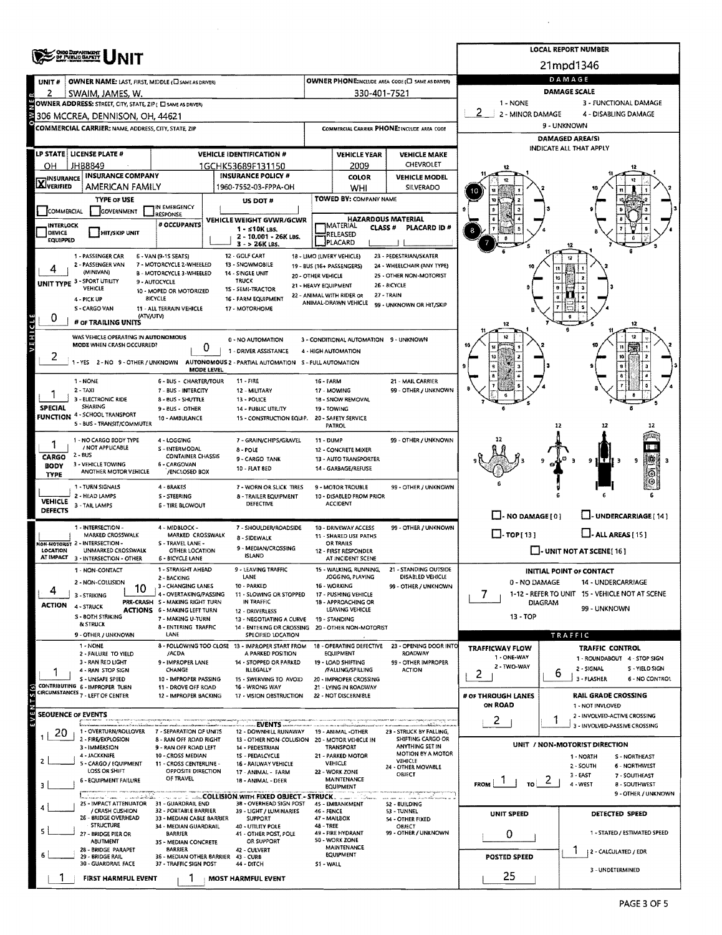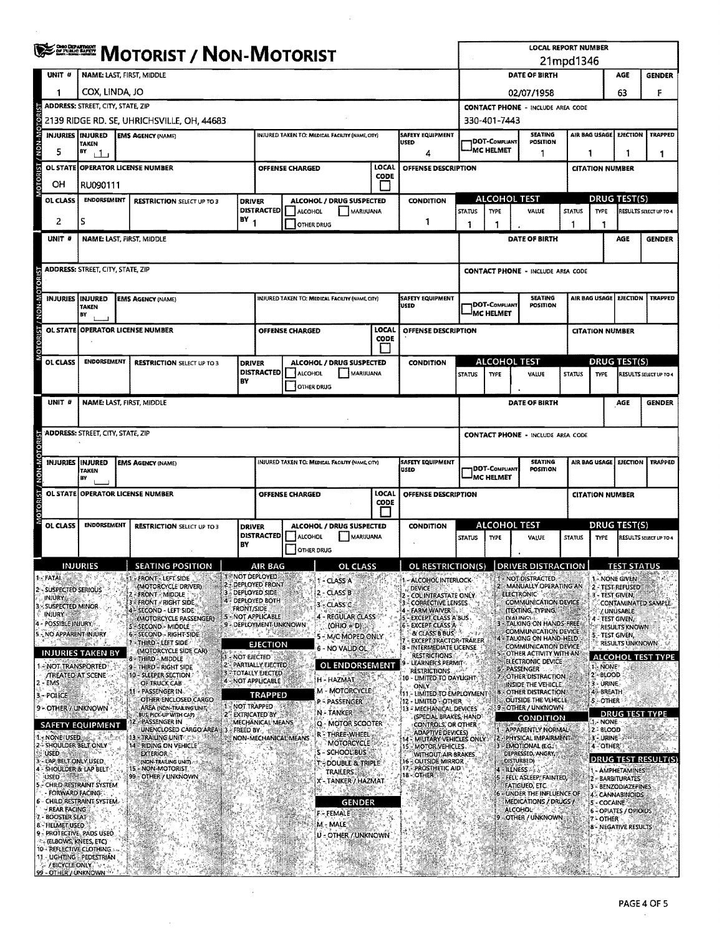|               |                                                | <b>WE DESCRIPT / NON-MOTORIST</b>                                                                                      |  |                                                             |                                          |                                                                                       |                              |                                                |                  |                                                                 |                                                                                      | <b>LOCAL REPORT NUMBER</b><br>21mpd1346                      |                                                                        |                        |                                                                        |                                         |                               |  |
|---------------|------------------------------------------------|------------------------------------------------------------------------------------------------------------------------|--|-------------------------------------------------------------|------------------------------------------|---------------------------------------------------------------------------------------|------------------------------|------------------------------------------------|------------------|-----------------------------------------------------------------|--------------------------------------------------------------------------------------|--------------------------------------------------------------|------------------------------------------------------------------------|------------------------|------------------------------------------------------------------------|-----------------------------------------|-------------------------------|--|
|               | UNIT #                                         | <b>NAME: LAST, FIRST, MIDDLE</b>                                                                                       |  |                                                             |                                          |                                                                                       |                              |                                                |                  |                                                                 |                                                                                      |                                                              | DATE OF BIRTH                                                          |                        |                                                                        | AGE                                     | <b>GENDER</b>                 |  |
|               | 1                                              | COX, LINDA, JO                                                                                                         |  |                                                             |                                          |                                                                                       |                              |                                                |                  |                                                                 |                                                                                      |                                                              | 02/07/1958                                                             |                        |                                                                        | 63                                      | F                             |  |
|               |                                                | ADDRESS: STREET, CITY, STATE, ZIP                                                                                      |  |                                                             | <b>CONTACT PHONE - INCLUDE AREA CODE</b> |                                                                                       |                              |                                                |                  |                                                                 |                                                                                      |                                                              |                                                                        |                        |                                                                        |                                         |                               |  |
|               |                                                |                                                                                                                        |  | 2139 RIDGE RD. SE, UHRICHSVILLE, OH, 44683                  |                                          |                                                                                       |                              |                                                |                  |                                                                 |                                                                                      | 330-401-7443                                                 |                                                                        |                        |                                                                        |                                         |                               |  |
| M-NON         | <b>INJURIES   INJURED</b>                      | <b>SAFETY EQUIPMENT</b><br>INJURED TAKEN TO: MEDICAL FACIUTY (NAME, CITY)<br><b>EMS AGENCY (NAME)</b><br>USED<br>TAKEN |  |                                                             |                                          |                                                                                       |                              |                                                |                  |                                                                 |                                                                                      | DOT-COMPLIANT                                                | <b>SEATING</b><br>POSITION                                             |                        | AIR BAG USAGE                                                          | <b>EJECTION</b>                         | <b>TRAPPED</b>                |  |
|               | 5                                              | BY<br>$\perp$<br>4                                                                                                     |  |                                                             |                                          |                                                                                       |                              |                                                |                  |                                                                 |                                                                                      | <sup>I</sup> MC HELMET<br>1                                  |                                                                        |                        |                                                                        | 1<br>-1<br>1                            |                               |  |
|               |                                                | LOCAL<br>OL STATE OPERATOR LICENSE NUMBER<br>OFFENSE DESCRIPTION<br>OFFENSE CHARGED<br><b>CODE</b>                     |  |                                                             |                                          |                                                                                       |                              |                                                |                  |                                                                 |                                                                                      | <b>CITATION NUMBER</b>                                       |                                                                        |                        |                                                                        |                                         |                               |  |
|               | OН                                             | RU090111                                                                                                               |  |                                                             |                                          |                                                                                       |                              |                                                |                  |                                                                 |                                                                                      |                                                              |                                                                        |                        |                                                                        |                                         |                               |  |
|               | OL CLASS                                       | <b>ENDORSEMENT</b>                                                                                                     |  | <b>RESTRICTION SELECT UP TO 3</b>                           |                                          | <b>DRIVER</b><br><b>DISTRACTED</b>                                                    | <b>ALCOHOL</b>               | ALCOHOL / DRUG SUSPECTED<br>MARUUANA           |                  | <b>CONDITION</b>                                                |                                                                                      | <b>ALCOHOL TEST</b><br><b>STATUS</b><br><b>TYPE</b><br>VALUE |                                                                        |                        | <b>DRUG TEST(S)</b><br><b>STATUS</b><br>TYPE<br>RESULTS SELECT UP TO 4 |                                         |                               |  |
|               | 2                                              | s                                                                                                                      |  |                                                             | $BY_1$                                   |                                                                                       | <b>OTHER DRUG</b>            |                                                |                  | 1                                                               |                                                                                      | 1                                                            |                                                                        |                        |                                                                        |                                         |                               |  |
|               | UNIT #                                         | <b>NAME: LAST, FIRST, MIDDLE</b>                                                                                       |  |                                                             |                                          |                                                                                       |                              |                                                |                  |                                                                 |                                                                                      |                                                              | DATE OF BIRTH                                                          |                        |                                                                        | <b>AGE</b>                              | <b>GENDER</b>                 |  |
|               |                                                |                                                                                                                        |  |                                                             |                                          |                                                                                       |                              |                                                |                  |                                                                 |                                                                                      |                                                              |                                                                        |                        |                                                                        |                                         |                               |  |
|               |                                                | <b>ADDRESS: STREET, CITY, STATE, ZIP</b>                                                                               |  |                                                             |                                          |                                                                                       |                              |                                                |                  |                                                                 |                                                                                      |                                                              | <b>CONTACT PHONE - INCLUDE AREA CODE</b>                               |                        |                                                                        |                                         |                               |  |
|               | <b>INJURIES IINJURED</b>                       |                                                                                                                        |  |                                                             |                                          |                                                                                       |                              | INJURED TAKEN TO: MEDICAL FACILITY (NAME CITY) |                  | <b>SAFETY EQUIPMENT</b>                                         |                                                                                      |                                                              | <b>SEATING</b>                                                         |                        |                                                                        | <b>LJECTION</b>                         | <b>TRAPPED</b>                |  |
| N-N-N         |                                                | <b>TAKEN</b><br>BY                                                                                                     |  | <b>EMS AGENCY (NAME)</b>                                    |                                          |                                                                                       |                              |                                                |                  | USED                                                            |                                                                                      | <b>DOT-COMPLIANT</b><br><b>MC HELMET</b>                     | <b>POSITION</b>                                                        | AIR BAG USAGE          |                                                                        |                                         |                               |  |
|               |                                                |                                                                                                                        |  | OL STATE OPERATOR LICENSE NUMBER                            |                                          |                                                                                       | <b>OFFENSE CHARGED</b>       |                                                | LOCAL            | OFFENSE DESCRIPTION                                             |                                                                                      |                                                              |                                                                        | <b>CITATION NUMBER</b> |                                                                        |                                         |                               |  |
|               |                                                |                                                                                                                        |  |                                                             |                                          |                                                                                       |                              |                                                | <b>CODE</b>      |                                                                 |                                                                                      |                                                              |                                                                        |                        |                                                                        |                                         |                               |  |
|               | OL CLASS                                       | <b>ENDORSEMENT</b>                                                                                                     |  | <b>RESTRICTION SELECT UP TO 3</b>                           |                                          | <b>DRIVER</b>                                                                         |                              | ALCOHOL / DRUG SUSPECTED                       |                  | <b>CONDITION</b>                                                |                                                                                      | <b>ALCOHOL TEST</b>                                          |                                                                        |                        |                                                                        | <b>DRUG TEST(S)</b>                     |                               |  |
|               |                                                |                                                                                                                        |  |                                                             | BY                                       | <b>DISTRACTED</b>                                                                     | ALCOHOL<br><b>OTHER DRUG</b> | MARIJUANA                                      |                  |                                                                 | <b>STATUS</b>                                                                        | <b>TYPE</b>                                                  | VALUE                                                                  | <b>STATUS</b>          | <b>TYPE</b>                                                            |                                         | <b>RESULTS SELECT UP TO 4</b> |  |
|               | UNIT #                                         | <b>NAME: LAST, FIRST, MIDDLE</b>                                                                                       |  |                                                             |                                          |                                                                                       |                              |                                                |                  |                                                                 |                                                                                      |                                                              | DATE OF BIRTH                                                          |                        |                                                                        | AGE                                     | <b>GENDER</b>                 |  |
|               |                                                |                                                                                                                        |  |                                                             |                                          |                                                                                       |                              |                                                |                  |                                                                 |                                                                                      |                                                              |                                                                        |                        |                                                                        |                                         |                               |  |
|               |                                                | <b>ADDRESS: STREET, CITY, STATE, ZIP</b>                                                                               |  |                                                             |                                          |                                                                                       |                              |                                                |                  |                                                                 | <b>CONTACT PHONE - INCLUDE AREA CODE</b>                                             |                                                              |                                                                        |                        |                                                                        |                                         |                               |  |
|               |                                                |                                                                                                                        |  |                                                             |                                          |                                                                                       |                              |                                                |                  |                                                                 |                                                                                      |                                                              |                                                                        |                        |                                                                        |                                         |                               |  |
| NON-M         | <b>INJURIES INJURED</b>                        | <b>TAKEN</b><br>BY                                                                                                     |  | <b>EMS AGENCY (NAME)</b>                                    |                                          |                                                                                       |                              | INJURED TAKEN TO: MEDICAL FACRITY (NAME CITY)  |                  | <b>SAFETY EQUIPMENT</b><br><b>USED</b>                          | <b>SEATING</b><br>DOT-Compliant<br>POSITION<br>MC HELMET                             |                                                              |                                                                        |                        | AIR BAG USAGE EJECTION<br><b>TRAPPED</b>                               |                                         |                               |  |
|               | <b>OL STATE</b>                                |                                                                                                                        |  | <b>OPERATOR LICENSE NUMBER</b>                              |                                          | LOCAL<br>OFFENSE CHARGED<br>OFFENSE DESCRIPTION                                       |                              |                                                |                  |                                                                 |                                                                                      |                                                              | <b>CITATION NUMBER</b>                                                 |                        |                                                                        |                                         |                               |  |
| <b>TORIST</b> |                                                |                                                                                                                        |  |                                                             |                                          |                                                                                       |                              |                                                | CODE             |                                                                 |                                                                                      |                                                              |                                                                        |                        |                                                                        |                                         |                               |  |
|               | OL CLASS                                       | <b>ENDORSEMENT</b>                                                                                                     |  | <b>RESTRICTION SELECT UP TO 3</b>                           |                                          | ALCOHOL / DRUG SUSPECTED<br><b>DRIVER</b><br><b>DISTRACTED</b><br>ALCOHOL<br>MARUUANA |                              |                                                | <b>CONDITION</b> | <b>ALCOHOL TEST</b><br><b>STATUS</b><br><b>TYPE</b>             |                                                                                      |                                                              | <b>STATUS</b>                                                          |                        | DRUG TEST(S)                                                           | RESULTS SELECT UP TO 4                  |                               |  |
|               |                                                |                                                                                                                        |  |                                                             | BY                                       |                                                                                       | OTHER DRUG                   |                                                |                  |                                                                 |                                                                                      |                                                              | VALUE                                                                  |                        | <b>TYPE</b>                                                            |                                         |                               |  |
|               |                                                | <b>INJURIES</b>                                                                                                        |  | <b>SEATING POSITION</b>                                     |                                          | <b>AIR BAG</b>                                                                        |                              | OL CLASS                                       |                  | OL RESTRICTION(S) DRIVER DISTRACTION                            |                                                                                      |                                                              |                                                                        |                        |                                                                        | <b>TEST STATUS</b>                      |                               |  |
|               | : FATAL<br>光荣                                  | DA S                                                                                                                   |  | - FRONT - LEFT SIDE<br>(MOTORCYCLE DRIVER)                  | <b>1-NOT DEPLOYED</b>                    | 2 - DEPLOYED FRONT                                                                    |                              | I - CLASS A                                    |                  | - ALCOHOL INTERLOCK                                             |                                                                                      |                                                              | - NOT DISTRACTED<br>2 MANUALLY OPERATING AN                            |                        |                                                                        | I - NONE GIVEN<br>2 - TEST REFUSED      |                               |  |
|               | 2 - SUSPECTED SERIOUS<br>injury.               |                                                                                                                        |  | <b>FRONT - MIDDLE</b><br>$+$ FRONT $+$ RIGHT SIDE.          |                                          | DEPLOYED SIDE<br>4 - DEPLOYED BOTH                                                    |                              | 2 - CLASS B                                    |                  | DEVICE<br>COLINTRASTATE ONLY<br><b>CORRECTIVE LENSES</b>        |                                                                                      |                                                              | <b>ELECTRONIC</b><br><b>COMMUNICATION DEVICE</b>                       |                        | 3 - TEST GIVEN,                                                        |                                         | CONTAMINATED SAMPLE           |  |
|               | 3 - SUSPECTED MINOR<br><b>INJURY</b>           |                                                                                                                        |  | <b>SECOND - LEFT SIDE</b><br>(MOTORCYCLE PASSENGER)         | <b>FRONT/SIDE</b>                        | 5 - NOT APPLICABLE                                                                    |                              | $-CLASC$<br>4 - REGULAR CLASS                  |                  | <b>FARM WAIVER</b><br><b>EXCEPT CLASS A BUS</b>                 |                                                                                      |                                                              | <b>ITEXTING. TYPING.</b><br><b>DIALINGL</b>                            |                        | <b>4 - TEST GIVEN</b>                                                  | / UNUSABLE                              |                               |  |
|               | <b>POSSIBLE INJURY</b><br>. NO APPARENT INJURY |                                                                                                                        |  | <b>ASECOND - MIDDLE</b><br>6 - SECOND - RIGHT SIDE          |                                          | 9 - DEPLOYMENT UNKNOWN                                                                |                              | $(OHIO = D)$<br>5 - M/C MOPED ONLY             |                  | <b>EXCEPT CLASS A</b><br>& CLASS B BUS                          |                                                                                      |                                                              | 3 - TALKING ON HANDS-FREE<br>COMMUNICATION DEVICE                      |                        |                                                                        | <b>RESULTS KNOWN</b><br>- TEST GIVEN,   |                               |  |
|               |                                                | <b>INJURIES TAKEN BY</b>                                                                                               |  | 7 - THIRD - LEFT SIDE<br>(MOTORCYCLE SIDE CAR)              |                                          | <b>EJECTION</b>                                                                       |                              | 6 - NO VALID OL                                |                  | <b>EXCEPT TRACTOR-TRAILER</b><br><b>INTERMEDIATE LICENSE</b>    |                                                                                      |                                                              | TALKING ON HAND-HELD<br>COMMUNICATION DEVICE<br>OTHER ACTIVITY WITH AN |                        |                                                                        | <b>RESULTS UNKNOWN</b>                  |                               |  |
|               | 1 - NOT TRANSPORTED                            |                                                                                                                        |  | 8 - THIRD - MIDDLE<br>9 - THIRD - RIGHT SIDE                | - NOT EIECTED                            | 2" PARTIALLY EJECTED                                                                  |                              | OL ENDORSEMENT                                 |                  | <b>RESTRICTIONS</b><br>LEARNER'S PERMIT<br><b>RESTRICTIONS.</b> |                                                                                      |                                                              | ELECTRONIC DEVICE<br>6 PASSENGER                                       |                        | <b>NONE</b>                                                            |                                         | <b>ALCOHOL TEST TYPE</b>      |  |
|               | <b><i>TREATED AT SCENE</i></b><br>2 - EMS      |                                                                                                                        |  | 10 - SLEEPER SECTION.<br>OF TRUCK CAB                       | 4 - NOT APPLICABLE                       | <b>3 - TOTALLY EJECTED</b>                                                            |                              | <b>H</b> HAZMAT                                |                  | 10 - LIMITED TO DAYLIGHT<br><b>ONLY</b>                         |                                                                                      |                                                              | 7 OTHER DISTRACTION<br>INSIDE THE VEHICLE                              |                        | 2-BLOOD<br>3 - URINE                                                   |                                         |                               |  |
|               | 3-POLICE                                       |                                                                                                                        |  | PASSENGER IN<br>OTHER ENCLOSED CARGO                        |                                          | <b>TRAPPED</b>                                                                        |                              | M - MOTORCYCLE<br><b>P-PASSENGER</b>           |                  | \$11 - LIMITED TO EMPLOYMENT<br>12 - LIMITED - OTHER            |                                                                                      |                                                              | <b>B - OTHER DISTRACTION:</b><br>OUTSIDE THE VEHICLE.                  |                        | 4-BREATH<br>5-OTHER                                                    |                                         |                               |  |
|               | 9 - OTHER / UNKNOWN                            |                                                                                                                        |  | AREA (NON-TRAILING UNIT,<br>BUS, PICK-UP WITH CAP)          | NOT TRAPPED                              | 2 EXTRICATED BY                                                                       |                              | N-TANKER                                       |                  | 13 - MECHANICAL DEVICES<br>(SPECIAL BRAKES, HAND                |                                                                                      |                                                              | 9 - OTHER / UNKNOWN<br>CONDITION                                       |                        |                                                                        | <b>DRUG TEST TYPE</b>                   |                               |  |
|               |                                                | <b>SAFETY EQUIPMENT</b>                                                                                                |  | - PASSENGER IN<br>UNENCLOSED CARGO AREA                     | FREED BY.                                | MECHANICAL MEANS                                                                      |                              | Q - MOTOR SCOOTER<br>r - Three-Wheel           |                  | <b>CONTROLS, OR OTHER:</b><br><b>ADAPTIVE DEVICES)</b>          |                                                                                      |                                                              | - APPARENTLY NORMAL                                                    |                        | 1. NONE<br>2-8LOOD                                                     |                                         |                               |  |
|               | NONE USED<br><b>SHOULDER BELT ONLY</b>         |                                                                                                                        |  | <b>13 - TRAILING UNITER</b><br>14 - RIDING ON VEHICLE       |                                          | NON-MECHANICAL MEANS                                                                  |                              | <b>MOTORCYCLE</b><br><b>S-SCHOOL BUS</b>       |                  | 14 - MILITARY VEHICLES ONLY 2<br>15 - MOTOR VEHICLES .          |                                                                                      |                                                              | 22 PHYSICAL IMPAIRMENT<br><b>3 - EMOTIONAL (E.G.</b>                   |                        | 3-URINE<br>4-OTHER                                                     |                                         |                               |  |
|               | USED -<br>LAP BELT ONLY USED.                  |                                                                                                                        |  | <b>EXTERIOR</b><br>(NON-TRAILING UNIT)<br>15 - NON-MOTORIST |                                          |                                                                                       |                              | <b>SDOUBLE &amp; TRIPLE</b>                    |                  | <b>16 - OUTSIDE MIRROR</b><br>175 PROSTHETIC AID "              | DEPRESSED, ANGRY<br><b>WITHOUT AIR BRAKES</b><br><b>DISTURBED)</b><br><b>ILLNESS</b> |                                                              |                                                                        |                        |                                                                        |                                         | <b>DRUG TEST RESULT(S)</b>    |  |
|               | 4 - SHOULDER & LAP BELT<br>USED                | CHILD RESTRAINT SYSTEM                                                                                                 |  | 99 OTHER / UNKNOWN                                          |                                          |                                                                                       |                              | <b>TRAILERS</b><br>- TANKER / HAZMAT           |                  | 18 - OTHER                                                      |                                                                                      |                                                              | FELL ASLEEP, FAINTED,                                                  |                        |                                                                        | 1 - AMPHETAMINES<br>2 - BARBITURATES    |                               |  |
|               | <b>FORWARD FACING:</b>                         | 6 - CHILD RESTRAINT SYSTEM.                                                                                            |  |                                                             |                                          |                                                                                       |                              |                                                |                  |                                                                 |                                                                                      | 56.                                                          | FATIGUED, ETC.<br>- UNDER THE INFLUENCE OF<br>MEDICATIONS / DRUGS /    |                        |                                                                        | 3 - BENZODIAZEPINES<br>4 - CANNABINOIDS |                               |  |
|               | - REAR FACING<br><b>BOOSTER SEAT</b>           |                                                                                                                        |  |                                                             |                                          |                                                                                       |                              | GENDER<br>F - FEMALE                           |                  |                                                                 |                                                                                      |                                                              | <b>ALCOHOL</b><br>- OTHER / UNKNOWN                                    |                        | 5 - COCAINE                                                            | 6 - OPIATES / OPIOIDS                   |                               |  |
|               | 8 - HELMET USED                                | 9 - PROTECTIVE, PADS USED.                                                                                             |  |                                                             |                                          |                                                                                       |                              | M. - MALE                                      |                  |                                                                 |                                                                                      |                                                              |                                                                        |                        | 7 - OTHER                                                              | 8 - NEGATIVE RESULTS                    |                               |  |
|               | (ELBOWS, KNEES, ETC)                           | 10- REFLECTIVE CLOTHING                                                                                                |  |                                                             |                                          |                                                                                       |                              | U - OTHER / UNKNOWN                            |                  |                                                                 |                                                                                      |                                                              |                                                                        |                        |                                                                        |                                         |                               |  |
|               | / BICYCLE ONLY                                 | 11 - UGHTING - PEDESTRIAN                                                                                              |  |                                                             |                                          |                                                                                       |                              |                                                |                  |                                                                 |                                                                                      |                                                              |                                                                        |                        |                                                                        |                                         |                               |  |
|               | 99 - OTHER / UNKNOWN 199                       |                                                                                                                        |  |                                                             |                                          |                                                                                       |                              |                                                |                  |                                                                 |                                                                                      |                                                              |                                                                        |                        |                                                                        |                                         |                               |  |

 $\hat{\boldsymbol{\beta}}$ 

 $\hat{\mathcal{A}}$ 

 $\sim$